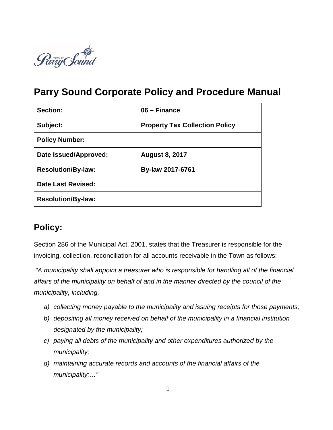

# **Parry Sound Corporate Policy and Procedure Manual**

| <b>Section:</b>           | 06 - Finance                          |
|---------------------------|---------------------------------------|
| Subject:                  | <b>Property Tax Collection Policy</b> |
| <b>Policy Number:</b>     |                                       |
| Date Issued/Approved:     | <b>August 8, 2017</b>                 |
| <b>Resolution/By-law:</b> | By-law 2017-6761                      |
| Date Last Revised:        |                                       |
| <b>Resolution/By-law:</b> |                                       |

## **Policy:**

Section 286 of the Municipal Act, 2001, states that the Treasurer is responsible for the invoicing, collection, reconciliation for all accounts receivable in the Town as follows:

*"A municipality shall appoint a treasurer who is responsible for handling all of the financial affairs of the municipality on behalf of and in the manner directed by the council of the municipality, including,*

- *a) collecting money payable to the municipality and issuing receipts for those payments;*
- *b) depositing all money received on behalf of the municipality in a financial institution designated by the municipality;*
- *c) paying all debts of the municipality and other expenditures authorized by the municipality;*
- *d) maintaining accurate records and accounts of the financial affairs of the municipality;…"*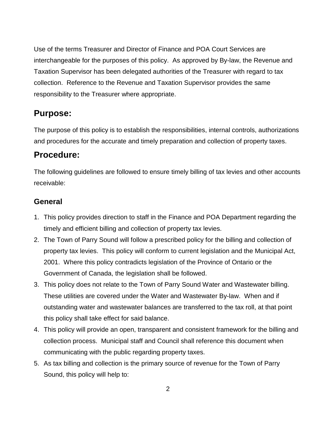Use of the terms Treasurer and Director of Finance and POA Court Services are interchangeable for the purposes of this policy. As approved by By-law, the Revenue and Taxation Supervisor has been delegated authorities of the Treasurer with regard to tax collection. Reference to the Revenue and Taxation Supervisor provides the same responsibility to the Treasurer where appropriate.

## **Purpose:**

The purpose of this policy is to establish the responsibilities, internal controls, authorizations and procedures for the accurate and timely preparation and collection of property taxes.

## **Procedure:**

The following guidelines are followed to ensure timely billing of tax levies and other accounts receivable:

#### **General**

- 1. This policy provides direction to staff in the Finance and POA Department regarding the timely and efficient billing and collection of property tax levies.
- 2. The Town of Parry Sound will follow a prescribed policy for the billing and collection of property tax levies. This policy will conform to current legislation and the Municipal Act, 2001. Where this policy contradicts legislation of the Province of Ontario or the Government of Canada, the legislation shall be followed.
- 3. This policy does not relate to the Town of Parry Sound Water and Wastewater billing. These utilities are covered under the Water and Wastewater By-law. When and if outstanding water and wastewater balances are transferred to the tax roll, at that point this policy shall take effect for said balance.
- 4. This policy will provide an open, transparent and consistent framework for the billing and collection process. Municipal staff and Council shall reference this document when communicating with the public regarding property taxes.
- 5. As tax billing and collection is the primary source of revenue for the Town of Parry Sound, this policy will help to: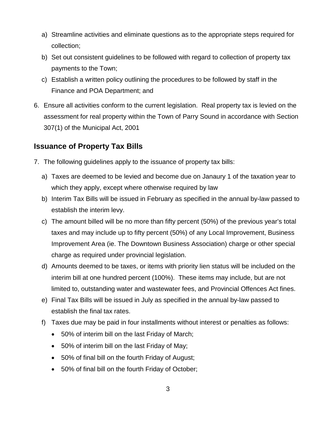- a) Streamline activities and eliminate questions as to the appropriate steps required for collection;
- b) Set out consistent guidelines to be followed with regard to collection of property tax payments to the Town;
- c) Establish a written policy outlining the procedures to be followed by staff in the Finance and POA Department; and
- 6. Ensure all activities conform to the current legislation. Real property tax is levied on the assessment for real property within the Town of Parry Sound in accordance with Section 307(1) of the Municipal Act, 2001

#### **Issuance of Property Tax Bills**

- 7. The following guidelines apply to the issuance of property tax bills:
	- a) Taxes are deemed to be levied and become due on Janaury 1 of the taxation year to which they apply, except where otherwise required by law
	- b) Interim Tax Bills will be issued in February as specified in the annual by-law passed to establish the interim levy.
	- c) The amount billed will be no more than fifty percent (50%) of the previous year's total taxes and may include up to fifty percent (50%) of any Local Improvement, Business Improvement Area (ie. The Downtown Business Association) charge or other special charge as required under provincial legislation.
	- d) Amounts deemed to be taxes, or items with priority lien status will be included on the interim bill at one hundred percent (100%). These items may include, but are not limited to, outstanding water and wastewater fees, and Provincial Offences Act fines.
	- e) Final Tax Bills will be issued in July as specified in the annual by-law passed to establish the final tax rates.
	- f) Taxes due may be paid in four installments without interest or penalties as follows:
		- 50% of interim bill on the last Friday of March;
		- 50% of interim bill on the last Friday of May;
		- 50% of final bill on the fourth Friday of August;
		- 50% of final bill on the fourth Friday of October;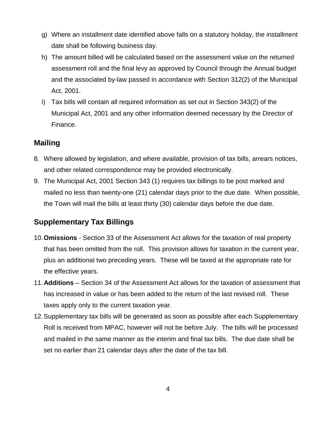- g) Where an installment date identified above falls on a statutory holiday, the installment date shall be following business day.
- h) The amount billed will be calculated based on the assessment value on the returned assessment roll and the final levy as approved by Council through the Annual budget and the associated by-law passed in accordance with Section 312(2) of the Municipal Act, 2001.
- i) Tax bills will contain all required information as set out in Section 343(2) of the Municipal Act, 2001 and any other information deemed necessary by the Director of Finance.

#### **Mailing**

- 8. Where allowed by legislation, and where available, provision of tax bills, arrears notices, and other related correspondence may be provided electronically.
- 9. The Municipal Act, 2001 Section 343 (1) requires tax billings to be post marked and mailed no less than twenty-one (21) calendar days prior to the due date. When possible, the Town will mail the bills at least thirty (30) calendar days before the due date.

#### **Supplementary Tax Billings**

- 10.**Omissions** Section 33 of the Assessment Act allows for the taxation of real property that has been omitted from the roll. This provision allows for taxation in the current year, plus an additional two preceding years. These will be taxed at the appropriate rate for the effective years.
- 11.**Additions** Section 34 of the Assessment Act allows for the taxation of assessment that has increased in value or has been added to the return of the last revised roll. These taxes apply only to the current taxation year.
- 12.Supplementary tax bills will be generated as soon as possible after each Supplementary Roll is received from MPAC, however will not be before July. The bills will be processed and mailed in the same manner as the interim and final tax bills. The due date shall be set no earlier than 21 calendar days after the date of the tax bill.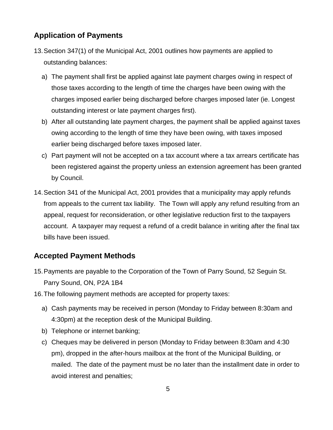### **Application of Payments**

- 13.Section 347(1) of the Municipal Act, 2001 outlines how payments are applied to outstanding balances:
	- a) The payment shall first be applied against late payment charges owing in respect of those taxes according to the length of time the charges have been owing with the charges imposed earlier being discharged before charges imposed later (ie. Longest outstanding interest or late payment charges first).
	- b) After all outstanding late payment charges, the payment shall be applied against taxes owing according to the length of time they have been owing, with taxes imposed earlier being discharged before taxes imposed later.
	- c) Part payment will not be accepted on a tax account where a tax arrears certificate has been registered against the property unless an extension agreement has been granted by Council.
- 14.Section 341 of the Municipal Act, 2001 provides that a municipality may apply refunds from appeals to the current tax liability. The Town will apply any refund resulting from an appeal, request for reconsideration, or other legislative reduction first to the taxpayers account. A taxpayer may request a refund of a credit balance in writing after the final tax bills have been issued.

#### **Accepted Payment Methods**

- 15.Payments are payable to the Corporation of the Town of Parry Sound, 52 Seguin St. Parry Sound, ON, P2A 1B4
- 16.The following payment methods are accepted for property taxes:
	- a) Cash payments may be received in person (Monday to Friday between 8:30am and 4:30pm) at the reception desk of the Municipal Building.
	- b) Telephone or internet banking;
	- c) Cheques may be delivered in person (Monday to Friday between 8:30am and 4:30 pm), dropped in the after-hours mailbox at the front of the Municipal Building, or mailed. The date of the payment must be no later than the installment date in order to avoid interest and penalties;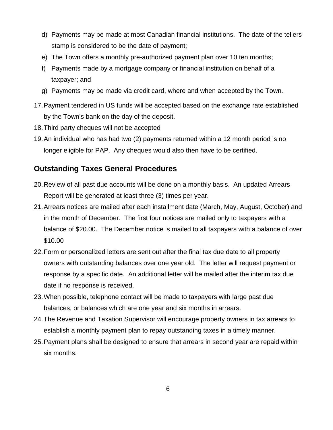- d) Payments may be made at most Canadian financial institutions. The date of the tellers stamp is considered to be the date of payment;
- e) The Town offers a monthly pre-authorized payment plan over 10 ten months;
- f) Payments made by a mortgage company or financial institution on behalf of a taxpayer; and
- g) Payments may be made via credit card, where and when accepted by the Town.
- 17.Payment tendered in US funds will be accepted based on the exchange rate established by the Town's bank on the day of the deposit.
- 18.Third party cheques will not be accepted
- 19.An individual who has had two (2) payments returned within a 12 month period is no longer eligible for PAP. Any cheques would also then have to be certified.

#### **Outstanding Taxes General Procedures**

- 20.Review of all past due accounts will be done on a monthly basis. An updated Arrears Report will be generated at least three (3) times per year.
- 21.Arrears notices are mailed after each installment date (March, May, August, October) and in the month of December. The first four notices are mailed only to taxpayers with a balance of \$20.00. The December notice is mailed to all taxpayers with a balance of over \$10.00
- 22.Form or personalized letters are sent out after the final tax due date to all property owners with outstanding balances over one year old. The letter will request payment or response by a specific date. An additional letter will be mailed after the interim tax due date if no response is received.
- 23.When possible, telephone contact will be made to taxpayers with large past due balances, or balances which are one year and six months in arrears.
- 24.The Revenue and Taxation Supervisor will encourage property owners in tax arrears to establish a monthly payment plan to repay outstanding taxes in a timely manner.
- 25.Payment plans shall be designed to ensure that arrears in second year are repaid within six months.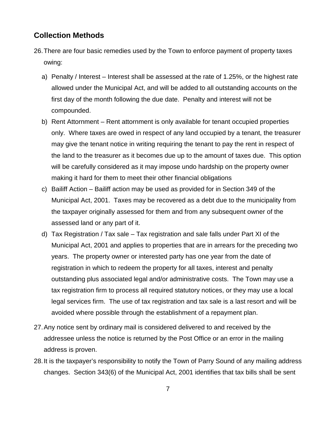#### **Collection Methods**

- 26.There are four basic remedies used by the Town to enforce payment of property taxes owing:
	- a) Penalty / Interest Interest shall be assessed at the rate of 1.25%, or the highest rate allowed under the Municipal Act, and will be added to all outstanding accounts on the first day of the month following the due date. Penalty and interest will not be compounded.
	- b) Rent Attornment Rent attornment is only available for tenant occupied properties only. Where taxes are owed in respect of any land occupied by a tenant, the treasurer may give the tenant notice in writing requiring the tenant to pay the rent in respect of the land to the treasurer as it becomes due up to the amount of taxes due. This option will be carefully considered as it may impose undo hardship on the property owner making it hard for them to meet their other financial obligations
	- c) Bailiff Action Bailiff action may be used as provided for in Section 349 of the Municipal Act, 2001. Taxes may be recovered as a debt due to the municipality from the taxpayer originally assessed for them and from any subsequent owner of the assessed land or any part of it.
	- d) Tax Registration / Tax sale Tax registration and sale falls under Part XI of the Municipal Act, 2001 and applies to properties that are in arrears for the preceding two years. The property owner or interested party has one year from the date of registration in which to redeem the property for all taxes, interest and penalty outstanding plus associated legal and/or administrative costs. The Town may use a tax registration firm to process all required statutory notices, or they may use a local legal services firm. The use of tax registration and tax sale is a last resort and will be avoided where possible through the establishment of a repayment plan.
- 27.Any notice sent by ordinary mail is considered delivered to and received by the addressee unless the notice is returned by the Post Office or an error in the mailing address is proven.
- 28.It is the taxpayer's responsibility to notify the Town of Parry Sound of any mailing address changes. Section 343(6) of the Municipal Act, 2001 identifies that tax bills shall be sent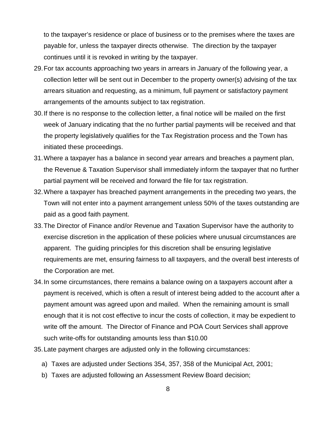to the taxpayer's residence or place of business or to the premises where the taxes are payable for, unless the taxpayer directs otherwise. The direction by the taxpayer continues until it is revoked in writing by the taxpayer.

- 29.For tax accounts approaching two years in arrears in January of the following year, a collection letter will be sent out in December to the property owner(s) advising of the tax arrears situation and requesting, as a minimum, full payment or satisfactory payment arrangements of the amounts subject to tax registration.
- 30.If there is no response to the collection letter, a final notice will be mailed on the first week of January indicating that the no further partial payments will be received and that the property legislatively qualifies for the Tax Registration process and the Town has initiated these proceedings.
- 31.Where a taxpayer has a balance in second year arrears and breaches a payment plan, the Revenue & Taxation Supervisor shall immediately inform the taxpayer that no further partial payment will be received and forward the file for tax registration.
- 32.Where a taxpayer has breached payment arrangements in the preceding two years, the Town will not enter into a payment arrangement unless 50% of the taxes outstanding are paid as a good faith payment.
- 33.The Director of Finance and/or Revenue and Taxation Supervisor have the authority to exercise discretion in the application of these policies where unusual circumstances are apparent. The guiding principles for this discretion shall be ensuring legislative requirements are met, ensuring fairness to all taxpayers, and the overall best interests of the Corporation are met.
- 34.In some circumstances, there remains a balance owing on a taxpayers account after a payment is received, which is often a result of interest being added to the account after a payment amount was agreed upon and mailed. When the remaining amount is small enough that it is not cost effective to incur the costs of collection, it may be expedient to write off the amount. The Director of Finance and POA Court Services shall approve such write-offs for outstanding amounts less than \$10.00
- 35.Late payment charges are adjusted only in the following circumstances:
	- a) Taxes are adjusted under Sections 354, 357, 358 of the Municipal Act, 2001;
	- b) Taxes are adjusted following an Assessment Review Board decision;